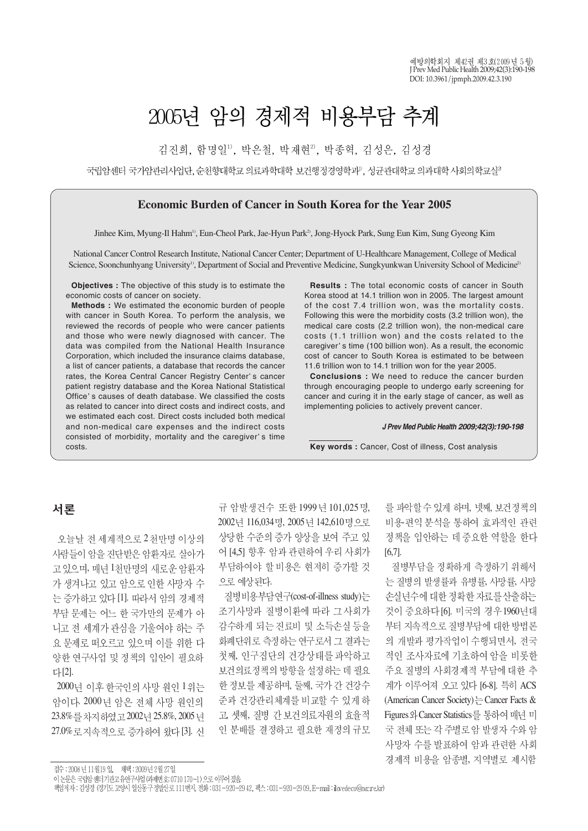# 2005년 암의 경제적 비용부담 추계

김진희, 함명일<sup>1)</sup>, 박은철, 박재현<sup>2)</sup>, 박종혁, 김성은, 김성경

국립암센터 국가암관리사업단, 순천향대학교 의료과학대학 보건행정경영학과<sup>9</sup>, 성균관대학교 의과대학 사회의학교실<sup>9</sup>

### **Economic Burden of Cancer in South Korea for the Year 2005**

Jinhee Kim, Myung-Il Hahm<sup>1)</sup>, Eun-Cheol Park, Jae-Hyun Park<sup>2</sup>, Jong-Hyock Park, Sung Eun Kim, Sung Gyeong Kim

National Cancer Control Research Institute, National Cancer Center; Department of U-Healthcare Management, College of Medical Science, Soonchunhyang University<sup>1)</sup>, Department of Social and Preventive Medicine, Sungkyunkwan University School of Medicine<sup>2)</sup>

**Objectives :** The objective of this study is to estimate the economic costs of cancer on society.

**Methods :** We estimated the economic burden of people with cancer in South Korea. To perform the analysis, we reviewed the records of people who were cancer patients and those who were newly diagnosed with cancer. The data was compiled from the National Health Insurance Corporation, which included the insurance claims database, a list of cancer patients, a database that records the cancer rates, the Korea Central Cancer Registry Center's cancer patient registry database and the Korea National Statistical Office's causes of death database. We classified the costs as related to cancer into direct costs and indirect costs, and we estimated each cost. Direct costs included both medical and non-medical care expenses and the indirect costs consisted of morbidity, mortality and the caregiver's time costs.

**Results :** The total economic costs of cancer in South Korea stood at 14.1 trillion won in 2005. The largest amount of the cost 7.4 trillion won, was the mortality costs. Following this were the morbidity costs (3.2 trillion won), the medical care costs (2.2 trillion won), the non-medical care costs (1.1 trillion won) and the costs related to the caregiver's time (100 billion won). As a result, the economic cost of cancer to South Korea is estimated to be between 11.6 trillion won to 14.1 trillion won for the year 2005.

**Conclusions :** We need to reduce the cancer burden through encouraging people to undergo early screening for cancer and curing it in the early stage of cancer, as well as implementing policies to actively prevent cancer.

#### *J Prev Med Public Health 2009;42(3):190-198*

**Key words :** Cancer, Cost of illness, Cost analysis

# 서론

오늘날 전 세계적으로 2천만명 이상의 사람들이 암을 진단받은 암환자로 살아가 고 있으며, 매년 1천만명의 새로운 암환자 가 생겨나고 있고 암으로 인한 사망자 수 는 증가하고 있다 [1]. 따라서 암의 경제적 부담 문제는 어느 한 국가만의 문제가 아 니고 전 세계가 관심을 기울여야 하는 주 요 문제로 떠오르고 있으며 이를 위한 다 양한 연구사업 및 정책의 입안이 필요하 다[2].

2000년 이후 한국인의 사망 원인 1위는 암이다. 2000년 암은 전체 사망 원인의 23.8% 를 차지하였고 2002년 25.8%, 2005 년 27.0% 로 지속적으로 증가하여 왔다 [3]. 신 규 암발생건수 또한 1999년 101.025명. 2002년 116,034명, 2005년 142,610명으로 상당한 수준의 증가 양상을 보여 주고 있 어 [4,5] 향후 암과 관련하여 우리 사회가 부담하여야 할 비용은 현저히 증가할 것 으로 예상된다.

질병비용부담연구(cost-of-illness study)는 조기사망과 질병이환에 따라 그 사회가 감수하게 되는 진료비 및 소득손실 등을 화폐단위로 측정하는 연구로서 그 결과는 첫째, 인구집단의 건강상태를 파악하고 보건의료정책의 방향을 설정하는 데 필요 한 정보를 제공하며, 둘째, 국가 간 건강수 준과 건강관리체계를 비교할 수 있게 하 고, 셋째, 질병 간 보건의료자원의 효율적 인 분배를 결정하고 필요한 재정의 규모

를 파악할 수 있게 하며, 넷째, 보건정책의 비용편의 분석을 통하여 효과적인 관련 정책을 입안하는 데 중요한 역할을 한다 [6,7].

질병부담을 정확하게 측정하기 위해서 는 질병의 발생률과 유병률, 사망률, 사망 손실년수에 대한 정확한 자료를 산출하는 것이 중요하다 [6]. 미국의 경우 1960년대 부터 지속적으로 질병부담에 대한 방법론 의 개발과 평가작업이 수행되면서, 전국 적인 조사자료에 기초하여 암을 비롯한 주요 질병의 사회경제적 부담에 대한 추 계가 이루어져 오고 있다 [6-8]. 특히 ACS (American Cancer Society)  $\frac{1}{k}$  Cancer Facts & Figures 와 Cancer Statistics를 통하여 매년 미 국 전체 또는 각 주별로 암 발생자 수와 암 사망자 수를 발표하여 암과 관련한 사회 경제적 비용을 암종별, 지역별로 제시함

접수 : 2008년 11월19일, 채택 : 2009년 2월 27일

이 논문은 국립암센터 기관고 유연구사업 (과제번호: 0710 170-1) 으로 이루어졌음

책임저자 : 김성경 (경기도 고양시 일산동구정발산로 111번지, 전화 : 031-920-29 42, 팩스 : 031-920-2909, E−mail : ilovedeco@nα.re.kr)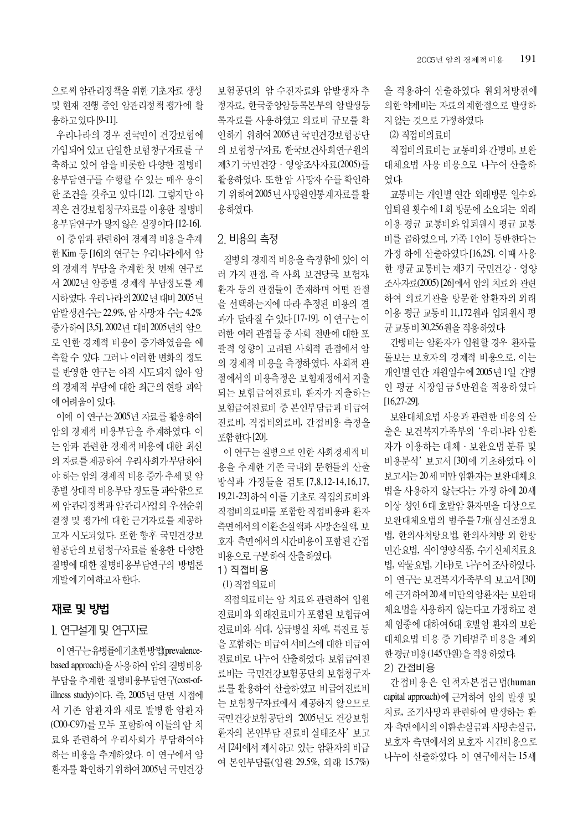으로써 암관리정책을 위한 기초자료 생성 및 현재 진행 중인 암관리정책 평가에 활 용하고있다 [9-11].

우리나라의 경우 전국민이 건강보험에 가입되어 있고 단일한 보험청구자료를 구 축하고 있어 암을 비롯한 다양한 질병비 용부담연구를 수행할 수 있는 매우 용이 한 조건을 갖추고 있다 [12]. 그렇지만 아 직은 건강보험청구자료를 이용한 질병비 용부담연구가 많지 않은 실정이다 [12-16]. 이 중 암과 관련하여 경제적 비용을 추계 한 Kim 등 [16]의 연구는 우리나라에서 암 의 경제적 부담을 추계한 첫 번째 연구로 서 2002년 암종별 경제적 부담정도를 제 시하였다. 우리나라의 2002년 대비 2005년 암발생건수는 22.9%, 암 사망자 수는 4.2% 증가하여 [3,5], 2002년 대비 2005년의 암으 로 인한 경제적 비용이 증가하였음을 예 측할 수 있다. 그러나 이러한 변화의 정도 를 반영한 연구는 아직 시도되지 않아 암 의 경제적 부담에 대한 최근의 현황 파악 에 어려움이 있다.

이에 이 연구는 2005년 자료를 활용하여 암의 경제적 비용부담을 추계하였다. 이 는 암과 관련한 경제적 비용에 대한 최신 의 자료를 제공하여 우리사회가 부담하여 야 하는 암의 경제적 비용 증가 추세 및 암 종별 상대적 비용부담 정도를 파악함으로 써 암관리정책과 암관리사업의 우선순위 결정 및 평가에 대한 근거자료를 제공하 고자 시도되었다. 또한 향후 국민건강보 험공단의 보험청구자료를 활용한 다양한 질병에 대한 질병비용부담연구의 방법론 개발에 기여하고자 한다.

# 재료 및 방법

## 1. 연구설계 및 연구자료

이 연구는 유병률에기초한방법(prevalencebased approach)을 사용하여 암의 질병비용 부담을 추계한 질병비용부담연구(cost-ofillness study)이다. 즉, 2005년 단면 시점에 서 기존 암환자와 새로 발병한 암환자 (C00-C97)를 모두 포함하여 이들의 암 치 료와 관련하여 우리사회가 부담하여야 하는 비용을 추계하였다. 이 연구에서 암 환자를 확인하기 위하여 2005년 국민건강 보험공단의 암 수진자료와 암발생자 추 정자료, 한국중앙암등록본부의 암발생등 록자료를 사용하였고 의료비 규모를 확 인하기 위하여 2005년 국민건강보험공단 의 보험청구자료, 한국보건사회연구원의 제3기 국민건강 · 영양조사자료(2005)를 활용하였다. 또한 암 사망자 수를 확인하 기 위하여 2005 년 사망원인통계자료를 활 용하였다.

## 2. 비용의 측정

질병의 경제적 비용을 측정함에 있어 여 러 가지 관점, 즉 사회, 보건당국, 보험자, 환자 등의 관점들이 존재하며 어떤 관점 을 선택하는지에 따라 추정된 비용의 결 과가 달라질 수 있다 [17-19]. 이 연구는 이 러한 여러 관점들 중 사회 전반에 대한 포 괄적 영향이 고려된 사회적 관점에서 암 의 경제적 비용을 측정하였다. 사회적 관 점에서의 비용측정은 보험재정에서 지출 되는 보험급여진료비, 환자가 지출하는 보험급여진료비 중 본인부담금과 비급여 진료비, 직접비의료비, 간접비용 측정을 포함하다 [20].

이 연구는 질병으로 인한 사회경제적 비 용을 추계한 기존 국내외 문헌들의 산출 방식과 가정들을 검토 [7,8,12-14,16,17, 19,21-23]하여 이를 기초로 직접의료비와 직접비의료비를 포함한 직접비용과 환자 측면에서의 이환손실액과 사망손실액, 보 호자 측면에서의 시간비용이 포함된 간접 비용으로 구분하여 산출하였다.

# 1) 직접비용

(1) 직접의료비

직접의료비는 암 치료와 관련하여 입원 진료비와 외래진료비가 포함된 보험급여 진료비와 식대, 상급병실 차액, 특진료 등 을 포함하는 비급여 서비스에 대한 비급여 진료비로 나누어 산출하였다. 보험급여진 료비는 국민건강보험공단의 보험청구자 료를 활용하여 산출하였고 비급여진료비 는 보험청구자료에서 제공하지 않으므로 국민건강보험공단의 '2005년도 건강보험 환자의 본인부담 진료비 실태조사' 보고 서 [24]에서 제시하고 있는 암환자의 비급 여 본인부담률(입원: 29.5%, 외래: 15.7%)

을 적용하여 산출하였다. 원외처방전에 의한 약제비는 자료의 제한점으로 발생하 지 않는 것으로 가정하였다.

(2) 직접비의 료비

직접비의료비는 교통비와 간병비, 보완 대체요법 사용 비용으로 나누어 산출하 였다.

교통비는 개인별 연간 외래방문 일수와 입퇴원 횟수에 1회 방문에 소요되는 외래 이용 평균 교통비와 입퇴원시 평균 교통 비를 곱하였으며, 가족 1인이 동반한다는 가정 하에 산출하였다 [16,25]. 이때 사용 한 평균 교통비는 제3기 국민건강 · 영양 조사자료(2005) [26]에서 암의 치료와 관련 하여 의료기관을 방문한 암환자의 외래 이용 평균 교통비 11,172원과 입퇴원시 평 균 교통비 30,256 원을 적용하였다.

간병비는 암환자가 입원할 경우 환자를 돌보는 보호자의 경제적 비용으로, 이는 개인별 연간 재원일수에 2005년 1일 간병 인 평균 시장임금 5만원을 적용하였다 [16,27-29].

보완대체요법 사용과 관련한 비용의 산 출은 보건복지가족부의 '우리나라 암환 자가 이용하는 대체 · 보완요법 분류 및 비용분석' 보고서 [30]에 기초하였다. 이 보고서는 20세 미만 암환자는 보완대체요 법을 사용하지 않는다는 가정 하에 20세 이상 성인 6대 호발암 환자만을 대상으로 보완대체요법의 범주를 7개 (심신조정요 법, 한의사처방요법, 한의사처방 외 한방 민간요법, 식이영양식품, 수기신체치료요 법, 약물요법, 기타)로 나누어 조사하였다. 이 연구는 보건복지가족부의 보고서 [30] 에 근거하여 20세미만의 암환자는 보완대 체요법을 사용하지 않는다고 가정하고 전 체 암종에 대하여 6대 호발암 환자의 보완 대체요법 비용 중 기타범주 비용을 제외 한 평균비용(145만원)을 적용하였다.

## 2) 간접비용

간접비용은 인적자본접근법(human capital approach)에 근거하여 암의 발생 및 치료, 조기사망과 관련하여 발생하는 환 자 측면에서의 이환손실금과 사망손실금, 보호자 측면에서의 보호자 시간비용으로 나누어 산출하였다. 이 연구에서는 15세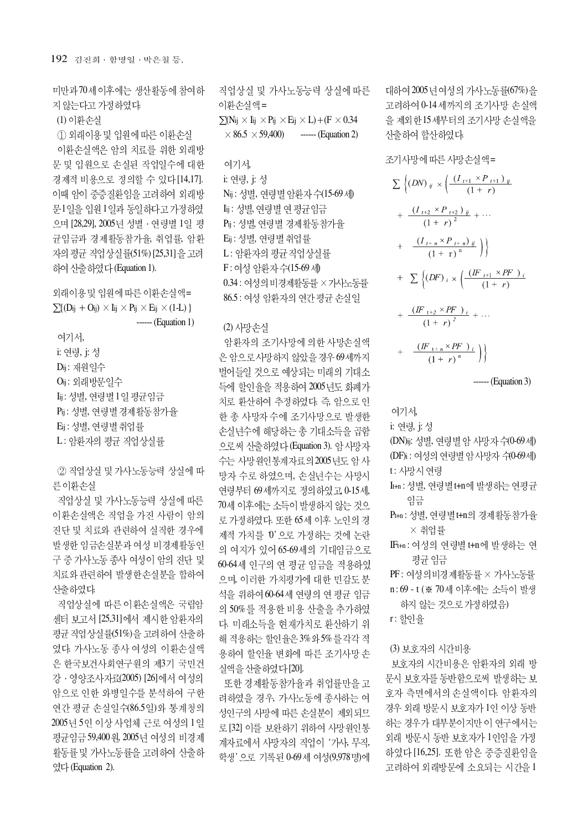미만과 70세 이후에는 생산활동에 참여하 지않는다고 가정하였다.

(1) 이환손실

1 외래이용 및 입원에 따른 이환손실 이환손실액은 암의 치료를 위한 외래방 문 및 입원으로 손실된 작업일수에 대한 경제적 비용으로 정의할 수 있다 [14,17]. 이때 암이 중증질환임을 고려하여 외래방 문1일을 입원 1일과 동일하다고 가정하였 으며 [28,29], 2005년 성별 · 연령별 1일 평 균임금과 경제활동참가율, 취업률, 암환 자의 평균 직업상실률(51%) [25,31]을 고려 하여 산출하였다 (Equation 1).

외래이용 및 입원에 따른 이환손실액=  $\sum\{(\text{Dij} + \text{Oij}) \times \text{Iij} \times \text{Pij} \times \text{Eij} \times (1-L)\}\$ ------ (Equation 1)

여기서. i: 연령, j: 성 Dij: 재원일수 Oij: 외래방문일수 Lij : 성별, 연령별 1일 평균임금 Pij : 성별, 연령별 경제활동참가율 Eij : 성별, 연령별 취업률 L: 암환자의 평균 직업상실률

② 직업상실 및 가사노동능력 상실에 따 른이환손실

직업상실 및 가사노동능력 상실에 따른 이환손실액은 직업을 가진 사람이 암의 진단 및 치료와 관련하여 실직한 경우에 발생한 임금손실분과 여성 비경제활동인 구 중 가사노동 종사 여성이 암의 진단 및 치료와 관련하여 발생한 손실분을 합하여 산출하였다.

직업상실에 따른 이환손실액은 국립암 센터 보고서 [25,31]에서 제시한 암환자의 평균 직업상실률(51%)을 고려하여 산출하 였다. 가사노동 종사 여성의 이환손실액 은 한국보건사회연구원의 제3기 국민건 강 · 영양조사자료(2005) [26]에서 여성의 암으로 인한 와병일수를 분석하여 구한 연간 평균 손실일수(86.5일)와 통계청의 2005년 5인 이상 사업체 근로 여성의 1일 평균임금 59,400 원, 2005년 여성의 비경제 활동률 및 가사노동률을 고려하여 산출하 였다 (Equation 2).

직업상실 및 가사노동능력 상실에 따른 이화수실액=  $\sum (N_{ij} \times I_{ij} \times P_{ij} \times E_{ij} \times L) + (F \times 0.34$  $\times$  86.5  $\times$  59,400) ------ (Equation 2)

# 여기서,

i: 여령, i: 성 Nij : 성별, 연령별 암환자 수(15-69 세) **Iij: 성별, 연령별 연평균임금** Pij : 성별, 연령별 경제활동참가율 Eij : 성별, 연령별취업률 L: 암환자의 평균 직업상실률 F: 여성 암환자수(15-69세) 0.34 : 여성의 비경제활동률 × 가사노동률 86.5 : 여성 암환자의 연간 평균 손실일

#### (2) 사망수실

암환자의 조기사망에 의한 사망손실액 은 암으로사망하지 않았을 경우 69세까지 벌어들일 것으로 예상되는 미래의 기대소 득에 할인율을 적용하여 2005년도 화폐가 치로 화산하여 추정하였다. 즉, 암으로 인 한 총 사망자 수에 조기사망으로 발생한 손실년수에 해당하는 총 기대소득을 곱함 으로써 사출하였다 (Equation 3). 암사망자 수는 사망원인통계자료의 2005년도 암 사 망자 수로 하였으며, 손실녀수는 사망시 연령부터 69세까지로 정의하였고 0-15세, 70세 이후에는 소득이 발생하지 않는 것으 로 가정하였다. 또한 65세 이후 노인의 경 제적 가치를 0'으로 가정하는 것에 논란 의 여지가 있어 65-69세의 기대임금으로 60-64세 인구의 연 평균 임금을 적용하였 으며, 이러한 가치평가에 대한 민감도 분 석을 위하여 60-64세 연령의 연평균 임금 의 50%를 적용한 비용 산출을 추가하였 다. 미래소득을 현재가치로 환산하기 위 해 적용하는 할인율은 3% 와 5%를 각각 적 용하여 할인율 변화에 따른 조기사망 손 실액을 산출하였다 [20].

또한 경제활동참가율과 취업률만을 고 려하였을 경우, 가사노동에 종사하는 여 성인구의 사망에 따른 손실분이 제외되므 로 [32] 이를 보완하기 위하여 사망원인통 계자료에서 사망자의 직업이 '가사, 무직, 학생' 으로 기록된 0-69세 여성(9,978명)에 대하여 2005년 여성의 가사노동률(67%)을 고려하여 0-14세까지의 조기사망 손실액 을 제외한 15세부터의 조기사망 손실액을 산출하여 합산하였다.

#### 조기사망에 따른 사망손실액=

$$
\sum {\big(DN\big)}_{ij} \times \left(\frac{(I_{t+1} \times P_{t+1})_{ij}}{(1+r)} + \frac{(I_{t+2} \times P_{t+2})_{ij}}{(1+r)^2} + \cdots + \frac{(I_{t+n} \times P_{t+n})_{ij}}{(1+r)^n}\right)}
$$
\n
$$
+ \sum {\big(DF\big)}_{i} \times \left(\frac{(IF_{t+1} \times PF)_{i}}{(1+r)} + \frac{(IF_{t+2} \times PF)_{i}}{(1+r)^2} + \cdots + \frac{(IF_{t+n} \times PF)_{i}}{(1+r)^n}\right)}
$$

------ (Equation 3)

## 여기서,

i: 연령, j: 성

(DN)ij: 성별, 연령별 암 사망자 수(0-69세) (DF)i : 여성의 연령별 암 사망자 수(0-69세) t: 사망시 연령

- It+n : 성별, 연령별 t+n에 발생하는 연평균 임금
- Pt+n : 성별, 연령별 t+n의 경제활동참가율 × 취업률
- IFt+n : 여성의 연령별 t+n에 발생하는 연 평균 임금
- PF : 여성의비경제활동률 × 가사노동률
- n:69 t (※ 70세 이후에는 소득이 발생 하지 않는 것으로 가정하였음)
- r: 할인율

## (3) 보호자의 시간비용

보호자의 시간비용은 암환자의 외래 방 문시 보호자를 동반함으로써 발생하는 보 호자 측면에서의 손실액이다. 암환자의 경우 외래 방문시 보호자가 1인 이상 동반 하는 경우가 대부분이지만 이 연구에서는 외래 방문시 동반 보호자가 1인임을 가정 하였다 [16,25]. 또한 암은 중증질환임을 고려하여 외래방문에 소요되는 시간을 1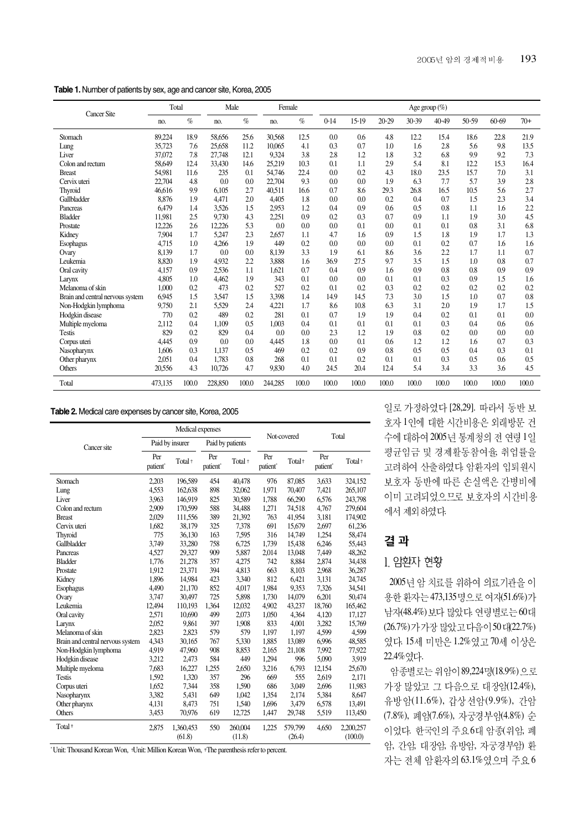**Table 1.** Number of patients by sex, age and cancer site, Korea, 2005

| <b>Cancer Site</b>               | Total   |       | Male    |       | Female  |       |        |         |           |           | Age group $(\%)$ |       |           |       |
|----------------------------------|---------|-------|---------|-------|---------|-------|--------|---------|-----------|-----------|------------------|-------|-----------|-------|
|                                  | no.     | $\%$  | no.     | $\%$  | no.     | $\%$  | $0-14$ | $15-19$ | $20 - 29$ | $30 - 39$ | $40 - 49$        | 50-59 | $60 - 69$ | $70+$ |
| Stomach                          | 89,224  | 18.9  | 58,656  | 25.6  | 30,568  | 12.5  | 0.0    | 0.6     | 4.8       | 12.2      | 15.4             | 18.6  | 22.8      | 21.9  |
| Lung                             | 35,723  | 7.6   | 25,658  | 11.2  | 10.065  | 4.1   | 0.3    | 0.7     | 1.0       | 1.6       | 2.8              | 5.6   | 9.8       | 13.5  |
| Liver                            | 37,072  | 7.8   | 27,748  | 12.1  | 9,324   | 3.8   | 2.8    | 1.2     | 1.8       | 3.2       | 6.8              | 9.9   | 9.2       | 7.3   |
| Colon and rectum                 | 58,649  | 12.4  | 33,430  | 14.6  | 25,219  | 10.3  | 0.1    | 1.1     | 2.9       | 5.4       | 8.1              | 12.2  | 15.3      | 16.4  |
| <b>Breast</b>                    | 54,981  | 11.6  | 235     | 0.1   | 54,746  | 22.4  | 0.0    | 0.2     | 4.3       | 18.0      | 23.5             | 15.7  | 7.0       | 3.1   |
| Cervix uteri                     | 22,704  | 4.8   | 0.0     | 0.0   | 22.704  | 9.3   | 0.0    | 0.0     | 1.9       | 6.3       | 7.7              | 5.7   | 3.9       | 2.8   |
| Thyroid                          | 46,616  | 9.9   | 6,105   | 2.7   | 40,511  | 16.6  | 0.7    | 8.6     | 29.3      | 26.8      | 16.5             | 10.5  | 5.6       | 2.7   |
| Gallbladder                      | 8,876   | 1.9   | 4,471   | 2.0   | 4,405   | 1.8   | 0.0    | 0.0     | 0.2       | 0.4       | 0.7              | 1.5   | 2.3       | 3.4   |
| Pancreas                         | 6.479   | 1.4   | 3,526   | 1.5   | 2,953   | 1.2   | 0.4    | 0.9     | 0.6       | 0.5       | 0.8              | 1.1   | 1.6       | 2.2   |
| <b>Bladder</b>                   | 11,981  | 2.5   | 9,730   | 4.3   | 2,251   | 0.9   | 0.2    | 0.3     | 0.7       | 0.9       | 1.1              | 1.9   | 3.0       | 4.5   |
| Prostate                         | 12,226  | 2.6   | 12,226  | 5.3   | 0.0     | 0.0   | 0.0    | 0.1     | 0.0       | 0.1       | 0.1              | 0.8   | 3.1       | 6.8   |
| Kidney                           | 7,904   | 1.7   | 5,247   | 2.3   | 2,657   | 1.1   | 4.7    | 1.6     | 0.9       | 1.5       | 1.8              | 1.9   | 1.7       | 1.3   |
| Esophagus                        | 4,715   | 1.0   | 4.266   | 1.9   | 449     | 0.2   | 0.0    | 0.0     | 0.0       | 0.1       | 0.2              | 0.7   | 1.6       | 1.6   |
| Ovary                            | 8,139   | 1.7   | 0.0     | 0.0   | 8,139   | 3.3   | 1.9    | 6.1     | 8.6       | 3.6       | 2.2              | 1.7   | 1.1       | 0.7   |
| Leukemia                         | 8,820   | 1.9   | 4,932   | 2.2   | 3,888   | 1.6   | 36.9   | 27.5    | 9.7       | 3.5       | 1.5              | 1.0   | 0.8       | 0.7   |
| Oral cavity                      | 4,157   | 0.9   | 2.536   | 1.1   | 1.621   | 0.7   | 0.4    | 0.9     | 1.6       | 0.9       | 0.8              | 0.8   | 0.9       | 0.9   |
| Larynx                           | 4,805   | 1.0   | 4,462   | 1.9   | 343     | 0.1   | 0.0    | 0.0     | 0.1       | 0.1       | 0.3              | 0.9   | 1.5       | 1.6   |
| Melanoma of skin                 | 1,000   | 0.2   | 473     | 0.2   | 527     | 0.2   | 0.1    | 0.2     | 0.3       | 0.2       | 0.2              | 0.2   | 0.2       | 0.2   |
| Brain and central nervous system | 6,945   | 1.5   | 3,547   | 1.5   | 3,398   | 1.4   | 14.9   | 14.5    | 7.3       | 3.0       | 1.5              | 1.0   | 0.7       | 0.8   |
| Non-Hodgkin lymphoma             | 9,750   | 2.1   | 5,529   | 2.4   | 4,221   | 1.7   | 8.6    | 10.8    | 6.3       | 3.1       | 2.0              | 1.9   | 1.7       | 1.5   |
| Hodgkin disease                  | 770     | 0.2   | 489     | 0.2   | 281     | 0.1   | 0.7    | 1.9     | 1.9       | 0.4       | 0.2              | 0.1   | 0.1       | 0.0   |
| Multiple myeloma                 | 2,112   | 0.4   | 1.109   | 0.5   | 1.003   | 0.4   | 0.1    | 0.1     | 0.1       | 0.1       | 0.3              | 0.4   | 0.6       | 0.6   |
| <b>Testis</b>                    | 829     | 0.2   | 829     | 0.4   | 0.0     | 0.0   | 2.3    | 1.2     | 1.9       | 0.8       | 0.2              | 0.0   | 0.0       | 0.0   |
| Corpus uteri                     | 4,445   | 0.9   | 0.0     | 0.0   | 4.445   | 1.8   | 0.0    | 0.1     | 0.6       | 1.2       | 1.2              | 1.6   | 0.7       | 0.3   |
| Nasopharynx                      | 1,606   | 0.3   | 1.137   | 0.5   | 469     | 0.2   | 0.2    | 0.9     | 0.8       | 0.5       | 0.5              | 0.4   | 0.3       | 0.1   |
| Other pharynx                    | 2,051   | 0.4   | 1,783   | 0.8   | 268     | 0.1   | 0.1    | 0.2     | 0.1       | 0.1       | 0.3              | 0.5   | 0.6       | 0.5   |
| Others                           | 20,556  | 4.3   | 10,726  | 4.7   | 9,830   | 4.0   | 24.5   | 20.4    | 12.4      | 5.4       | 3.4              | 3.3   | 3.6       | 4.5   |
| Total                            | 473,135 | 100.0 | 228,850 | 100.0 | 244,285 | 100.0 | 100.0  | 100.0   | 100.0     | 100.0     | 100.0            | 100.0 | 100.0     | 100.0 |

#### **Table 2.** Medical care expenses by cancer site, Korea, 2005

|                                  |                             | Medical expenses    |                             |                    | Not-covered                 |                    | Total                       |                      |  |
|----------------------------------|-----------------------------|---------------------|-----------------------------|--------------------|-----------------------------|--------------------|-----------------------------|----------------------|--|
| Cancer site                      | Paid by insurer             |                     |                             | Paid by patients   |                             |                    |                             |                      |  |
|                                  | Per<br>patient <sup>®</sup> | Total <sup>+</sup>  | Per<br>patient <sup>®</sup> | Total <sup>+</sup> | Per<br>patient <sup>®</sup> | Total <sup>+</sup> | Per<br>patient <sup>®</sup> | Total <sup>+</sup>   |  |
| Stomach                          | 2,203                       | 196,589             | 454                         | 40,478             | 976                         | 87,085             | 3,633                       | 324,152              |  |
| Lung                             | 4,553                       | 162,638             | 898                         | 32,062             | 1,971                       | 70,407             | 7,421                       | 265,107              |  |
| Liver                            | 3.963                       | 146,919             | 825                         | 30,589             | 1,788                       | 66,290             | 6,576                       | 243,798              |  |
| Colon and rectum                 | 2,909                       | 170,599             | 588                         | 34,488             | 1,271                       | 74,518             | 4,767                       | 279,604              |  |
| <b>Breast</b>                    | 2,029                       | 111,556             | 389                         | 21,392             | 763                         | 41,954             | 3,181                       | 174,902              |  |
| Cervix uteri                     | 1,682                       | 38,179              | 325                         | 7,378              | 691                         | 15,679             | 2,697                       | 61,236               |  |
| Thyroid                          | 775                         | 36,130              | 163                         | 7,595              | 316                         | 14,749             | 1,254                       | 58,474               |  |
| Gallbladder                      | 3,749                       | 33,280              | 758                         | 6,725              | 1,739                       | 15,438             | 6,246                       | 55,443               |  |
| Pancreas                         | 4,527                       | 29,327              | 909                         | 5,887              | 2,014                       | 13,048             | 7,449                       | 48,262               |  |
| <b>Bladder</b>                   | 1,776                       | 21,278              | 357                         | 4,275              | 742                         | 8,884              | 2,874                       | 34,438               |  |
| Prostate                         | 1,912                       | 23,371              | 394                         | 4,813              | 663                         | 8,103              | 2,968                       | 36,287               |  |
| Kidney                           | 1,896                       | 14,984              | 423                         | 3.340              | 812                         | 6,421              | 3,131                       | 24,745               |  |
| <b>Esophagus</b>                 | 4,490                       | 21,170              | 852                         | 4,017              | 1,984                       | 9,353              | 7,326                       | 34,541               |  |
| Ovary                            | 3,747                       | 30,497              | 725                         | 5,898              | 1,730                       | 14,079             | 6.201                       | 50,474               |  |
| Leukemia                         | 12,494                      | 110,193             | 1,364                       | 12,032             | 4,902                       | 43,237             | 18,760                      | 165,462              |  |
| Oral cavity                      | 2,571                       | 10,690              | 499                         | 2,073              | 1,050                       | 4,364              | 4,120                       | 17,127               |  |
| Larynx                           | 2.052                       | 9.861               | 397                         | 1.908              | 833                         | 4,001              | 3,282                       | 15,769               |  |
| Melanoma of skin                 | 2.823                       | 2.823               | 579                         | 579                | 1,197                       | 1,197              | 4,599                       | 4,599                |  |
| Brain and central nervous system | 4.343                       | 30,165              | 767                         | 5,330              | 1,885                       | 13,089             | 6,996                       | 48,585               |  |
| Non-Hodgkin lymphoma             | 4.919                       | 47.960              | 908                         | 8,853              | 2,165                       | 21,108             | 7,992                       | 77,922               |  |
| Hodgkin disease                  | 3,212                       | 2,473               | 584                         | 449                | 1,294                       | 996                | 5,090                       | 3.919                |  |
| Multiple myeloma                 | 7,683                       | 16,227              | 1,255                       | 2,650              | 3,216                       | 6,793              | 12,154                      | 25,670               |  |
| <b>Testis</b>                    | 1,592                       | 1.320               | 357                         | 296                | 669                         | 555                | 2.619                       | 2,171                |  |
| Corpus uteri                     | 1.652                       | 7,344               | 358                         | 1,590              | 686                         | 3.049              | 2,696                       | 11,983               |  |
| Nasopharynx                      | 3,382                       | 5,431               | 649                         | 1,042              | 1,354                       | 2,174              | 5,384                       | 8,647                |  |
| Other pharynx                    | 4,131                       | 8,473               | 751                         | 1,540              | 1,696                       | 3,479              | 6,578                       | 13,491               |  |
| Others                           | 3,453                       | 70,976              | 619                         | 12,725             | 1,447                       | 29,748             | 5,519                       | 113,450              |  |
| Total <sup>+</sup>               | 2,875                       | 1,360,453<br>(61.8) | 550                         | 260,004<br>(11.8)  | 1,225                       | 579,799<br>(26.4)  | 4,650                       | 2,200,257<br>(100.0) |  |

\* Unit: Thousand Korean Won, Unit: Million Korean Won, The parenthesis refer to percent.

일로 가정하였다 [28,29]. 따라서 동반 보 호자 1인에 대한 시간비용은 외래방문 건 수에 대하여 2005년 통계청의 전 연령 1일 평균임금 및 경제활동참여율, 취업률을 고려하여 산출하였다. 암환자의 입퇴원시 보호자 동반에 따른 손실액은 간병비에 이미 고려되었으므로 보호자의 시간비용 에서 제외하였다.

# 결과

# 1. 암환자 현황

2005년 암 치료를 위하여 의료기관을 이 용한 환자는 473,135 명으로 여자(51.6%)가 남자(48.4%) 보다 많았다. 연령별로는 60대 (26.7%) 가 가장 많았고 다음이 50 대(22.7%) 였다. 15세 미만은 1.2% 였고 70세 이상은 22.4% 였다.

암종별로는 위암이 89,224명(18.9%)으로 가장 많았고 그 다음으로 대장암(12.4%), 유방암(11.6%), 갑상선암(9.9%), 간암 (7.8%), 폐암(7.6%), 자궁경부암(4.8%) 순 이었다. 한국인의 주요 6대 암종(위암, 폐 암, 간암, 대장암, 유방암, 자궁경부암) 환 자는 전체 암환자의 63.1%였으며 주요 6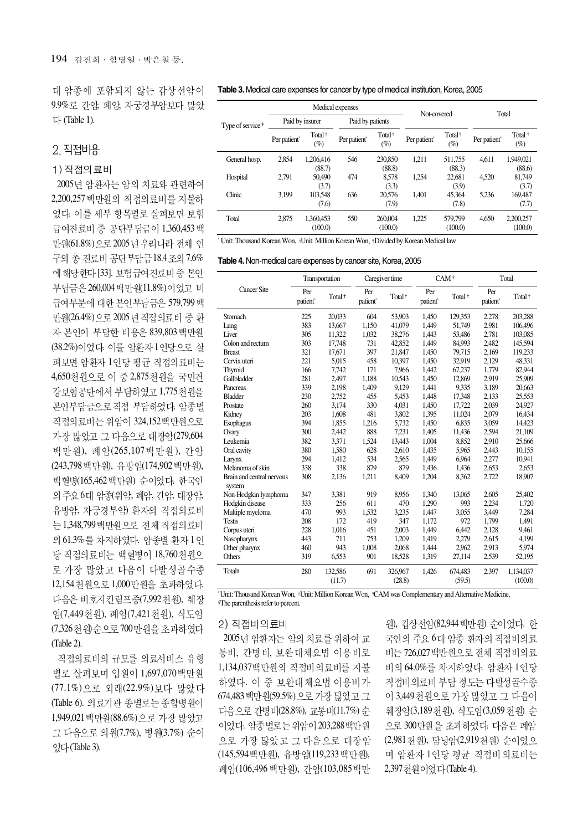대 암종에 포함되지 않는 갑상선암이 9.9% 로 간암, 폐암, 자궁경부암보다 많았  $\Box$  (Table 1).

## 2 직접비용

### 1) 직접의료비

2005년 암환자는 암의 치료와 관련하여 2,200,257 백만워의 직접의료비를 지불하 였다. 이를 세부 항목별로 살펴보면 보험 급여진료비 중 공단부담금이 1,360,453 백 만원(61.8%) 으로 2005 년 우리나라 전체 인 구의 총 진료비 공단부담금 18.4 조의 7.6% 에 해당한다 [33]. 보험급여진료비중 본인 부담금은 260,004 백만원(11.8%)이었고 비 급여부분에 대한 본인부담금은 579,799 백 만원(26.4%) 으로 2005 년 직접의료비 중 환 자 본인이 부담한 비용은 839,803 백만원 (38.2%)이었다. 이를 암환자 1인당으로 살 펴보면 암환자 1인당 평균 직접의료비는 4,650천원으로 이 중 2,875천원을 국민건 강보험공단에서 부담하였고 1,775천원을 본인부담금으로 직접 부담하였다. 암종별 직접의료비는 위암이 324,152백만원으로 가장 많았고 그 다음으로 대장암(279,604 백만원), 폐암(265,107 백만원), 간암 (243,798 백만원, 유방암(174,902 백만원), 백혈병(165,462 백만원) 순이었다. 한국인 의 주요 6대 암종(위암, 폐암, 간암, 대장암, 유방암, 자궁경부암) 환자의 직접의료비 는 1,348,799 백만원으로 전체 직접의료비 의 61.3% 를 차지하였다. 암종별 화자 1인 당 직접의료비는 백혈병이 18,760천원으 로 가장 많았고 다음이 다발성골수종 12,154 처 워 으 로 1,000 만 워을 초 과하 였 다. 다음은 비호지킨림프종(7,992 천원), 췌장 암(7,449 천위), 폐암(7,421 천위), 식도암 (7,326 천 원 순으로 700 만 원을 초과하였다 (Table 2).

직접의료비의 규모를 의료서비스 유형 별로 살펴보며 입원이 1,697,070백만원 (77.1%)으로 외래(22.9%)보다 많았다 (Table 6). 의료기관 종별로는 종합병원이 1,949,021 백만원(88.6%)으로 가장 많았고 그 다음으로 의원(7.7%), 병원(3.7%) 순이 었다(Table 3).

#### **Table 3.** Medical care expenses for cancer by type of medical institution, Korea, 2005

|                              |                          |                              | Medical expenses         |                              | Not-covered              |                              | Total                    |                              |
|------------------------------|--------------------------|------------------------------|--------------------------|------------------------------|--------------------------|------------------------------|--------------------------|------------------------------|
| Type of service <sup>†</sup> | Paid by insurer          |                              | Paid by patients         |                              |                          |                              |                          |                              |
|                              | Per patient <sup>®</sup> | Total <sup>+</sup><br>$(\%)$ | Per patient <sup>®</sup> | Total <sup>+</sup><br>$(\%)$ | Per patient <sup>®</sup> | Total <sup>+</sup><br>$(\%)$ | Per patient <sup>®</sup> | Total <sup>+</sup><br>$(\%)$ |
| General hosp.                | 2,854                    | 1.206.416<br>(88.7)          | 546                      | 230,850<br>(88.8)            | 1.211                    | 511,755<br>(88.3)            | 4.611                    | 1.949.021<br>(88.6)          |
| Hospital                     | 2.791                    | 50,490<br>(3.7)              | 474                      | 8.578<br>(3.3)               | 1.254                    | 22,681<br>(3.9)              | 4.520                    | 81.749<br>(3.7)              |
| Clinic                       | 3.199                    | 103.548<br>(7.6)             | 636                      | 20.576<br>(7.9)              | 1.401                    | 45.364<br>(7.8)              | 5.236                    | 169,487<br>(7.7)             |
| Total                        | 2.875                    | 1.360,453<br>(100.0)         | 550                      | 260,004<br>(100.0)           | 1,225                    | 579,799<br>(100.0)           | 4.650                    | 2,200,257<br>(100.0)         |

\* Unit: Thousand Korean Won, +Unit: Million Korean Won, +Divided by Korean Medical law

|  | Table 4. Non-medical care expenses by cancer site, Korea, 2005 |  |  |  |
|--|----------------------------------------------------------------|--|--|--|
|--|----------------------------------------------------------------|--|--|--|

|                                     | Transportation              |                    |                             | Caregiver time     | $CAM+$                      |                    | Total                       |                    |
|-------------------------------------|-----------------------------|--------------------|-----------------------------|--------------------|-----------------------------|--------------------|-----------------------------|--------------------|
| <b>Cancer Site</b>                  | Per<br>patient <sup>®</sup> | Total <sup>+</sup> | Per<br>patient <sup>*</sup> | Total <sup>+</sup> | Per<br>patient <sup>®</sup> | Total <sup>+</sup> | Per<br>patient <sup>®</sup> | Total <sup>+</sup> |
| Stomach                             | 225                         | 20,033             | 604                         | 53,903             | 1,450                       | 129,353            | 2,278                       | 203,288            |
| Lung                                | 383                         | 13,667             | 1.150                       | 41.079             | 1,449                       | 51,749             | 2,981                       | 106,496            |
| Liver                               | 305                         | 11,322             | 1,032                       | 38,276             | 1,443                       | 53,486             | 2,781                       | 103,085            |
| Colon and rectum                    | 303                         | 17,748             | 731                         | 42.852             | 1,449                       | 84,993             | 2,482                       | 145,594            |
| <b>Breast</b>                       | 321                         | 17,671             | 397                         | 21,847             | 1,450                       | 79,715             | 2,169                       | 119,233            |
| Cervix uteri                        | 221                         | 5,015              | 458                         | 10,397             | 1,450                       | 32,919             | 2,129                       | 48,331             |
| Thyroid                             | 166                         | 7.742              | 171                         | 7.966              | 1.442                       | 67,237             | 1,779                       | 82,944             |
| Gallbladder                         | 281                         | 2,497              | 1,188                       | 10,543             | 1,450                       | 12,869             | 2,919                       | 25,909             |
| Pancreas                            | 339                         | 2,198              | 1,409                       | 9,129              | 1,441                       | 9,335              | 3,189                       | 20,663             |
| <b>Bladder</b>                      | 230                         | 2,752              | 455                         | 5,453              | 1,448                       | 17,348             | 2,133                       | 25,553             |
| Prostate                            | 260                         | 3,174              | 330                         | 4,031              | 1,450                       | 17,722             | 2,039                       | 24,927             |
| Kidney                              | 203                         | 1,608              | 481                         | 3,802              | 1,395                       | 11,024             | 2,079                       | 16,434             |
| <b>Esophagus</b>                    | 394                         | 1,855              | 1,216                       | 5,732              | 1,450                       | 6,835              | 3,059                       | 14,423             |
| Ovary                               | 300                         | 2,442              | 888                         | 7.231              | 1,405                       | 11,436             | 2,594                       | 21,109             |
| Leukemia                            | 382                         | 3,371              | 1,524                       | 13,443             | 1,004                       | 8,852              | 2,910                       | 25,666             |
| Oral cavity                         | 380                         | 1,580              | 628                         | 2,610              | 1,435                       | 5,965              | 2,443                       | 10,155             |
| Larynx                              | 294                         | 1,412              | 534                         | 2,565              | 1.449                       | 6,964              | 2,277                       | 10,941             |
| Melanoma of skin                    | 338                         | 338                | 879                         | 879                | 1,436                       | 1,436              | 2,653                       | 2,653              |
| Brain and central nervous<br>system | 308                         | 2,136              | 1,211                       | 8,409              | 1,204                       | 8,362              | 2,722                       | 18,907             |
| Non-Hodgkin lymphoma                | 347                         | 3,381              | 919                         | 8.956              | 1,340                       | 13,065             | 2,605                       | 25,402             |
| Hodgkin disease                     | 333                         | 256                | 611                         | 470                | 1,290                       | 993                | 2,234                       | 1,720              |
| Multiple myeloma                    | 470                         | 993                | 1,532                       | 3,235              | 1,447                       | 3,055              | 3,449                       | 7,284              |
| <b>Testis</b>                       | 208                         | 172                | 419                         | 347                | 1,172                       | 972                | 1,799                       | 1,491              |
| Corpus uteri                        | 228                         | 1,016              | 451                         | 2,003              | 1,449                       | 6,442              | 2,128                       | 9,461              |
| Nasopharynx                         | 443                         | 711                | 753                         | 1,209              | 1,419                       | 2,279              | 2,615                       | 4,199              |
| Other pharynx                       | 460                         | 943                | 1,008                       | 2,068              | 1,444                       | 2,962              | 2,913                       | 5,974              |
| Others                              | 319                         | 6.553              | 901                         | 18,528             | 1,319                       | 27,114             | 2,539                       | 52,195             |
| Total <sup>§</sup>                  | 280                         | 132,586            | 691                         | 326,967            | 1,426                       | 674,483            | 2,397                       | 1,134,037          |
|                                     |                             | (11.7)             |                             | (28.8)             |                             | (59.5)             |                             | (100.0)            |

\* Unit: Thousand Korean Won, Unit: Million Korean Won, CAM was Complementary and Alternative Medicine, The parenthesis refer to percent.

#### 2) 직접비의료비

2005년 암환자는 암의 치료를 위하여 교 통비, 간병비, 보완대체요법 이용비로 1,134,037백만원의 직접비의료비를 지불 하였다. 이 중 보완대체요법 이용비가 674,483 백만원(59.5%) 으로 가장 많았고 그 다음으로 간병비(28.8%), 교통비(11.7%) 순 이었다. 암종별로는 위암이 203,288백만원 으로 가장 많았고 그 다음으로 대장암 (145,594 백만원), 유방암(119,233 백만원), 폐암(106,496 백만원), 간암(103,085 백만

원), 갑상선암(82,944 백만원) 순이었다. 한 국인의 주요 6대 암종 환자의 직접비의료 비는 726,027 백만원으로 전체 직접비의료 비의 64.0%를 차지하였다. 암화자 1인당 직접비의료비 부담 정도는 다발성골수종 이 3,449 천원으로 가장 많았고 그 다음이 췌장암(3,189 천원), 식도암(3,059 천원) 순 으로 300만원을 초과하였다. 다음은 폐암 (2,981 천원), 담낭암(2,919천원) 순이었으 며 암환자 1인당 평균 직접비의료비는 2,397 천원이었다 (Table 4).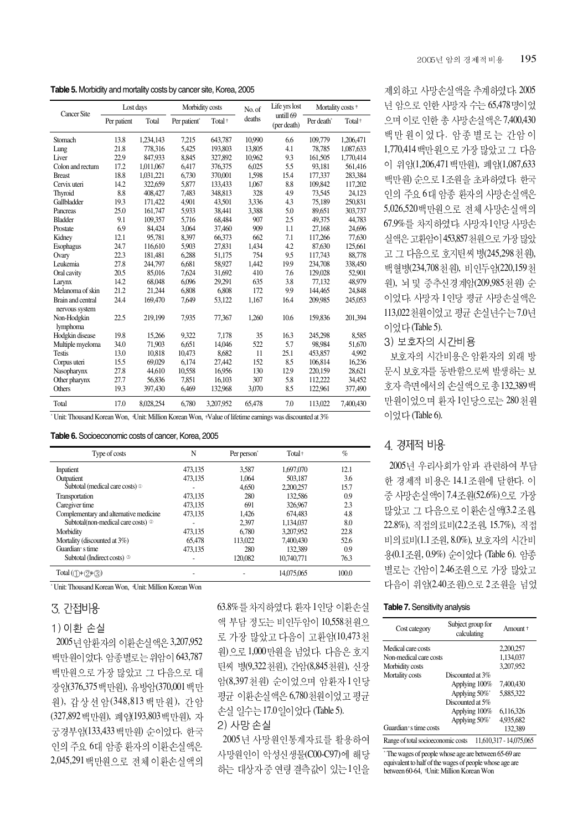**Table 5.** Morbidity and mortality costs by cancer site, Korea, 2005

| <b>Cancer Site</b>                  | Lost days   |           | Morbidity costs          |                    | No. of | Life yrs lost            | Mortality costs <sup>+</sup> |                    |  |
|-------------------------------------|-------------|-----------|--------------------------|--------------------|--------|--------------------------|------------------------------|--------------------|--|
|                                     | Per patient | Total     | Per patient <sup>®</sup> | Total <sup>+</sup> | deaths | untill 69<br>(per death) | Per death <sup>*</sup>       | Total <sup>+</sup> |  |
| Stomach                             | 13.8        | 1,234,143 | 7.215                    | 643,787            | 10,990 | 6.6                      | 109,779                      | 1,206,471          |  |
| Lung                                | 21.8        | 778.316   | 5.425                    | 193,803            | 13,805 | 4.1                      | 78.785                       | 1,087,633          |  |
| Liver                               | 22.9        | 847,933   | 8,845                    | 327,892            | 10,962 | 9.3                      | 161,505                      | 1,770,414          |  |
| Colon and rectum                    | 17.2        | 1.011.067 | 6.417                    | 376,375            | 6.025  | 5.5                      | 93,181                       | 561,416            |  |
| <b>Breast</b>                       | 18.8        | 1,031,221 | 6,730                    | 370,001            | 1,598  | 15.4                     | 177,337                      | 283,384            |  |
| Cervix uteri                        | 14.2        | 322,659   | 5,877                    | 133,433            | 1,067  | 8.8                      | 109,842                      | 117,202            |  |
| Thyroid                             | 8.8         | 408,427   | 7,483                    | 348,813            | 328    | 4.9                      | 73,545                       | 24,123             |  |
| Gallbladder                         | 19.3        | 171,422   | 4.901                    | 43,501             | 3,336  | 4.3                      | 75,189                       | 250,831            |  |
| Pancreas                            | 25.0        | 161.747   | 5.933                    | 38,441             | 3,388  | 5.0                      | 89.651                       | 303,737            |  |
| <b>Bladder</b>                      | 9.1         | 109,357   | 5,716                    | 68,484             | 907    | 2.5                      | 49,375                       | 44,783             |  |
| Prostate                            | 6.9         | 84,424    | 3,064                    | 37,460             | 909    | 1.1                      | 27,168                       | 24,696             |  |
| Kidney                              | 12.1        | 95,781    | 8,397                    | 66,373             | 662    | 7.1                      | 117,266                      | 77,630             |  |
| <b>Esophagus</b>                    | 24.7        | 116,610   | 5.903                    | 27,831             | 1,434  | 4.2                      | 87,630                       | 125,661            |  |
| Ovary                               | 22.3        | 181,481   | 6.288                    | 51,175             | 754    | 9.5                      | 117,743                      | 88,778             |  |
| Leukemia                            | 27.8        | 244.797   | 6.681                    | 58.927             | 1.442  | 19.9                     | 234,708                      | 338,450            |  |
| Oral cavity                         | 20.5        | 85,016    | 7.624                    | 31,692             | 410    | 7.6                      | 129,028                      | 52.901             |  |
| Larynx                              | 14.2        | 68,048    | 6,096                    | 29,291             | 635    | 3.8                      | 77,132                       | 48,979             |  |
| Melanoma of skin                    | 21.2        | 21,244    | 6,808                    | 6,808              | 172    | 9.9                      | 144.465                      | 24,848             |  |
| Brain and central<br>nervous system | 24.4        | 169,470   | 7,649                    | 53,122             | 1,167  | 16.4                     | 209,985                      | 245,053            |  |
| Non-Hodgkin<br>lymphoma             | 22.5        | 219,199   | 7.935                    | 77,367             | 1,260  | 10.6                     | 159,836                      | 201,394            |  |
| Hodgkin disease                     | 19.8        | 15,266    | 9.322                    | 7,178              | 35     | 16.3                     | 245,298                      | 8,585              |  |
| Multiple myeloma                    | 34.0        | 71,903    | 6.651                    | 14,046             | 522    | 5.7                      | 98.984                       | 51,670             |  |
| <b>Testis</b>                       | 13.0        | 10,818    | 10,473                   | 8,682              | 11     | 25.1                     | 453,857                      | 4,992              |  |
| Corpus uteri                        | 15.5        | 69,029    | 6.174                    | 27,442             | 152    | 8.5                      | 106.814                      | 16,236             |  |
| Nasopharynx                         | 27.8        | 44,610    | 10,558                   | 16.956             | 130    | 12.9                     | 220,159                      | 28,621             |  |
| Other pharynx                       | 27.7        | 56,836    | 7.851                    | 16.103             | 307    | 5.8                      | 112.222                      | 34,452             |  |
| Others                              | 19.3        | 397,430   | 6,469                    | 132,968            | 3,070  | 8.5                      | 122,961                      | 377,490            |  |
|                                     |             |           |                          |                    |        |                          |                              |                    |  |
| Total                               | 17.0        | 8,028,254 | 6,780                    | 3,207,952          | 65,478 | 7.0                      | 113,022                      | 7,400,430          |  |

\* Unit: Thousand Korean Won, Unit: Million Korean Won, Value of lifetime earnings was discounted at 3%

#### **Table 6.** Socioeconomic costs of cancer, Korea, 2005

| Type of costs                                        | N       | Per person <sup>*</sup> | Total <sup>+</sup> | $\%$  |
|------------------------------------------------------|---------|-------------------------|--------------------|-------|
| Inpatient                                            | 473.135 | 3.587                   | 1,697,070          | 12.1  |
| Outpatient                                           | 473,135 | 1,064                   | 503.187            | 3.6   |
| Subtotal (medical care costs) <sup>10</sup>          |         | 4.650                   | 2.200.257          | 15.7  |
| Transportation                                       | 473.135 | 280                     | 132.586            | 0.9   |
| Caregiver time                                       | 473.135 | 691                     | 326,967            | 2.3   |
| Complementary and alternative medicine               | 473.135 | 1.426                   | 674.483            | 4.8   |
| Subtotal(non-medical care costs) <sup>22</sup>       |         | 2,397                   | 1.134.037          | 8.0   |
| Morbidity                                            | 473.135 | 6.780                   | 3.207.952          | 22.8  |
| Mortality (discounted at 3%)                         | 65.478  | 113,022                 | 7,400,430          | 52.6  |
| Guardian's time                                      | 473.135 | 280                     | 132.389            | 0.9   |
| Subtotal (Indirect costs) <sup>3</sup>               |         | 120,082                 | 10,740,771         | 76.3  |
| Total $(\bigoplus + \bigotimes + \langle 3 \rangle)$ |         |                         | 14.075.065         | 100.0 |

\* Unit: Thousand Korean Won, Unit: Million Korean Won

# 3. 간접비용

#### 1) 이환 손실

2005 년 암환자의 이환손실액은 3,207,952 백만원이었다. 암종별로는 위암이 643,787 백만원으로 가장 많았고 그 다음으로 대 장임(376,375 백만원), 유방암(370,001 백만 원), 갑상선 암(348,813 백만원), 간암 (327,892 백 만원), 폐임(193,803 백 만원), 자 궁경부임(133,433 백만워) 수이었다. 한국 인의 주요 6대 암종 환자의 이환손실액은 2,045,291 백만원으로 전체 이환손실액의 63.8% 를 차지하였다. 환자 1인당 이환손실 액 부담 정도는 비인두암이 10,558천원으 로 가장 많았고 다음이 고환암(10,473천 원)으로 1,000 만원을 넘었다. 다음은 호지 틴씨 병(9,322 천원), 간암(8,845 천원), 신장 암(8,397 천원) 순이었으며 암환자 1 인당 평균 이환손실액은 6,780천원이었고 평균 손실 일수는 17.0 일이 었다 (Table 5). 2) 사망 손실

2005년 사망원인통계자료를 활용하여 사망원인이 악성신생물(C00-C97)에 해당 하는 대상자 중 연령 결측값이 있는 1인을

제외하고 사망손실액을 추계하였다. 2005 녀 암으로 인한 사망자 수는 65,478명이었 으며 이로 인한 총 사망손실액은 7,400,430 백만원이었다. 암종별로는 간암이 1,770,414 백만원으로 가장 많았고 그 다음 이 위임(1,206,471 백만원), 폐임(1,087,633 백만원) 순으로 1조원을 초과하였다. 한국 인의 주요 6대 암종 환자의 사망손실액은 5,026,520백만원으로 전체 사망손실액의 67.9%를 차지하였다. 사망자 1인당 사망손 실액은 고환암이 453,857 천원으로 가장 많았 고 그 다음으로 호지틴씨 병(245,298 천 원), 백혈병(234,708 천원), 비인두암(220,159천 원), 뇌 및 중추신경계암(209,985천원) 순 이었다. 사망자 1인당 평균 사망손실액은 113,022천원이었고 평균 손실년수는 7.0년 이었다 (Table 5).

#### 3) 보호자의 시간비용

보호자의 시간비용은 암환자의 외래 방 문시 보호자를 동반함으로써 발생하는 보 호자 측면에서의 손실액으로 총 132,389백 만원이었으며 환자 1인당으로는 280천원 이었다 (Table 6).

## 4. 경제적 비용

2005년 우리사회가 암과 관련하여 부담 한 경제적 비용은 14.1 조원에 달한다. 이 중 사망손실액이 7.4조원(52.6%)으로 가장 많았고 그 다음으로 이환손실액(3.2조원, 22.8%), 직접의료비(2.2조원, 15.7%), 직접 비의 료비(1.1 조워, 8.0%), 보호자의 시간비 용(0.1조원, 0.9%) 순이었다 (Table 6). 암종 별로는 간암이 2.46조원으로 가장 많았고 다음이 위암(2.40조원)으로 2조원을 넘었

#### **Table 7.** Sensitivity analysis

| Cost category                      | Subject group for<br>calculating | Amount <sup>+</sup>     |
|------------------------------------|----------------------------------|-------------------------|
| Medical care costs                 |                                  | 2.200.257               |
| Non-medical care costs             |                                  | 1,134,037               |
| Morbidity costs                    |                                  | 3.207.952               |
| Mortality costs                    | Discounted at 3%                 |                         |
|                                    | Applying 100%                    | 7.400,430               |
|                                    | Applying 50%*                    | 5.885.322               |
|                                    | Discounted at 5%                 |                         |
|                                    | Applying 100%                    | 6.116.326               |
|                                    | Applying 50%*                    | 4.935.682               |
| Guardian's time costs              |                                  | 132,389                 |
| Range of total socioeconomic costs |                                  | 11.610.317 - 14.075.065 |

\* The wages of people whose age are between 65-69 are equivalent to half of the wages of people whose age are between 60-64, <sup>+</sup>Unit: Million Korean Won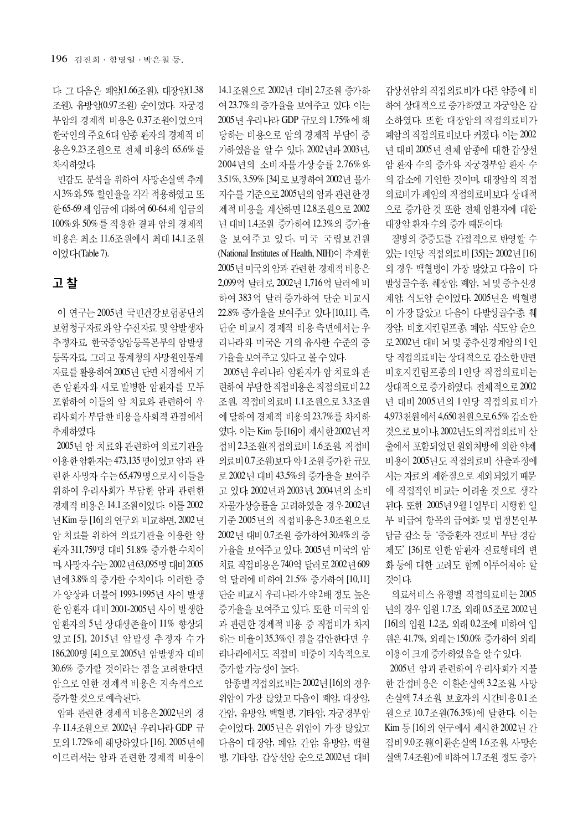다. 그 다음은 폐암(1.66조원), 대장암(1.38 조원), 유방암(0.97조원) 순이었다. 자궁경 부암의 경제적 비용은 0.37조원이었으며 한국인의 주요 6대 암종 환자의 경제적 비 용은 9.23조원으로 전체 비용의 65.6%를 차지하였다.

민감도 분석을 위하여 사망손실액 추계 시3% 와 5% 할인율을 각각 적용하였고 또 한 65-69세 임금에 대하여 60-64세 임금의 100% 와 50% 를 적용한 결과 암의 경제적 비용은 최소 11.6조원에서 최대 14.1 조원 이었다(Table 7).

# 고 찰

이 연구는 2005년 국민건강보험공단의 보험청구자료와 암 수진자료 및 암발생자 추정자료, 한국중앙암등록본부의 암발생 등록자료, 그리고 통계청의 사망원인통계 자료를 활용하여 2005년 단면 시점에서 기 존 암환자와 새로 발병한 암환자를 모두 포함하여 이들의 암 치료와 관련하여 우 리사회가 부담한 비용을 사회적 관점에서 추계하였다.

2005년 암 치료와 관련하여 의료기관을 이용한 암환자는 473,135 명이 었고 암과 관 련한 사망자 수는 65,479명으로서 이들을 위하여 우리사회가 부담한 암과 관련한 경제적 비용은 14.1 조원이었다. 이를 2002 년 Kim 등 [16] 의 연구와 비교하면, 2002 년 암 치료를 위하여 의료기관을 이용한 암 환자 311,759명 대비 51.8% 증가한 수치이 며, 사망자 수는 2002 년 63,095명 대비 2005 년에3.8%의 증가한 수치이다. 이러한 증 가 양상과 더불어 1993-1995년 사이 발생 한 암환자 대비 2001-2005년 사이 발생한 암환자의 5년 상대생존율이 11% 향상되 었고 [5], 2015년 암발생 추정자 수가 186,200명 [4] 으로 2005년 암발생자 대비 30.6% 증가할 것이라는 점을 고려한다면 암으로 인한 경제적 비용은 지속적으로 증가할 것으로 예측된다.

암과 관련한 경제적 비용은 2002년의 경 우 11.4 조원으로 2002년 우리나라 GDP 규 모의 1.72% 에 해당하였다 [16]. 2005년에 이르러서는 암과 관련한 경제적 비용이 14.1조원으로 2002년 대비 2.7조원 증가하 여 23.7%의 증가율을 보여주고 있다. 이는 2005년 우리나라 GDP 규모의 1.75%에 해 당하는 비용으로 암의 경제적 부담이 증 가하였음을 알 수 있다. 2002년과 2003년, 2004년의 소비자물가상승률 2.76% 와 3.51%, 3.59% [34] 로 보정하여 2002년 물가 지수를 기준으로 2005년의 암과 관련한 경 제적 비용을 계산하면 12.8조원으로 2002 년 대비 1.4조원 증가하여 12.3%의 증가율 을 보여주고 있다. 미국 국립보건원 (National Institutes of Health, NIH)이 추계한 2005년 미국의 암과 관련한 경제적 비용은 2,099억 달러로, 2002년 1,716억 달러에 비 하여 383억 달러 증가하여 단순 비교시 22.8% 증가율을 보여주고 있다 [10,11]. 즉, 단순 비교시 경제적 비용 측면에서는 우 리나라와 미국은 거의 유사한 수준의 증 가율을 보여주고 있다고 볼 수 있다.

2005년 우리나라 암환자가 암 치료와 관 련하여 부담한 직접비용은 직접의료비 2.2 조워, 직접비의료비 1.1 조워으로 3.3 조워 에 달하여 경제적 비용의 23.7%를 차지하 였다. 이는 Kim 등[16]이 제시한 2002년 직 접비 2.3조원(직접의료비 1.6조원, 직접비 의료비 0.7 조원) 보다 약 1 조원 증가 한 규모 로 2002년 대비 43.5%의 증가율을 보여주 고 있다. 2002년과 2003년, 2004년의 소비 자물가상승률을 고려하였을 경우2002년 기준 2005년의 직접비용은 3.0조원으로 2002년 대비 0.7조원 증가하여 30.4%의 증 가율을 보여주고 있다. 2005년 미국의 암 치료 직접비용은 740억 달러로 2002년 609 억 달러에 비하여 21.5% 증가하여 [10,11] 단순 비교시 우리나라가 약 2배 정도 높은 증가율을 보여주고 있다. 또한 미국의 암 과 관련한 경제적 비용 중 직접비가 차지 하는 비율이 35.3%인 점을 감안한다면 우 리나라에서도 직접비 비중이 지속적으로 증가할 가능성이 높다.

암종별 직접의료비는 2002년 [16]의 경우 위암이 가장 많았고 다음이 폐암, 대장암, 간암, 유방암, 백혈병, 기타암, 자궁경부암 순이었다. 2005 년은 위암이 가장 많았고 다음이 대장암, 폐암, 간암, 유방암, 백혈 병, 기타암, 갑상선암 순으로 2002년 대비

갑상선암의 직접의료비가 다른 암종에 비 하여 상대적으로 증가하였고 자궁암은 감 소하였다. 또한 대장암의 직접의료비가 폐암의 직접의료비보다 커졌다. 이는 2002 년 대비 2005년 전체 암종에 대한 갑상선 암 환자 수의 증가와 자궁경부암 환자 수 의 감소에 기인한 것이며, 대장암의 직접 의료비가 폐암의 직접의료비보다 상대적 으로 증가한 것 또한 전체 암환자에 대한 대장암 환자 수의 증가 때문이다.

질병의 중증도를 간접적으로 반영할 수 있는 1인당 직접의료비 [35]는 2002년 [16] 의 경우 백혈병이 가장 많았고 다음이 다 발성골수종, 췌장암, 폐암, 뇌 및 중추신경 계암, 식도암 순이었다. 2005년은 백혈병 이 가장 많았고 다음이 다발성골수종, 췌 장암, 비호지킨림프종, 폐암, 식도암 순으 로 2002년 대비 뇌 및 중추신경계암의 1인 당 직접의료비는 상대적으로 감소한 반면 비호지킨림프종의 1인당 직접의료비는 상대적으로 증가하였다. 전체적으로 2002 년 대비 2005년의 1인당 직접의료비가 4,973 천원에서 4,650 천원으로 6.5% 감소한 것으로 보이나, 2002년도의 직접의료비산 출에서 포함되었던 원외처방에 의한 약제 비용이 2005년도 직접의료비 산출과정에 서는 자료의 제한점으로 제외되었기 때문 에 직접적인 비교는 어려울 것으로 생각 된다. 또한 2005년 9월 1일부터 시행한 일 부 비급여 항목의 급여화 및 법정본인부 담금 감소 등 '중증환자 진료비 부담 경감 제도' [36]로 인한 암환자 진료행태의 변 화 등에 대한 고려도 함께 이루어져야 할 것이다.

의료서비스 유형별 직접의료비는 2005 년의 경우 입원 1.7조, 외래 0.5조로 2002년 [16]의 입원 1.2조, 외래 0.2조에 비하여 입 원은 41.7%, 외래는 150.0% 증가하여 외래 이용이 크게 증가하였음을 알 수 있다.

2005년 암과 관련하여 우리사회가 지불 한 간접비용은 이환손실액 3.2조원, 사망 손실액 7.4 조원 보호자의 시간비용 0.1 조 원으로 10.7조원(76.3%)에 달한다. 이는 Kim 등 [16]의 연구에서 제시한 2002년 간 접비 9.0조원이 환손실액 1.6조원, 사망손 실액 7.4조원)에 비하여 1.7조원 정도 증가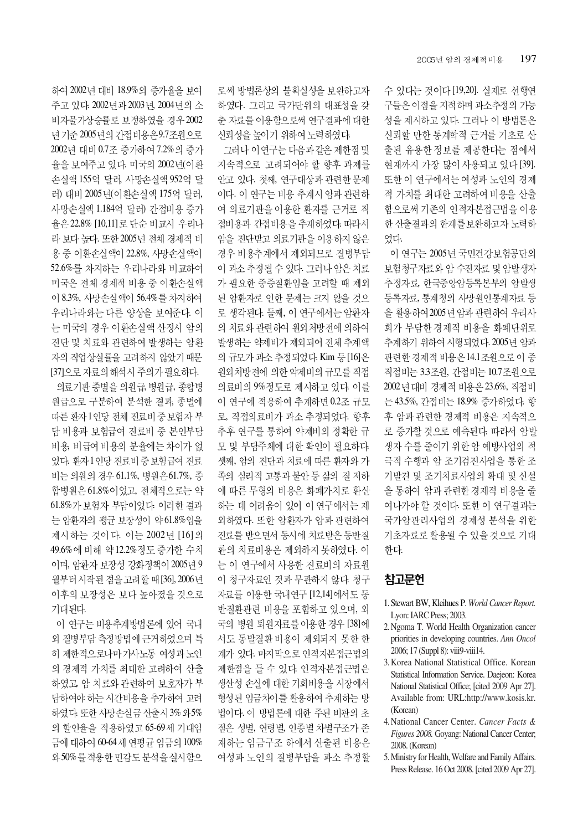수 있다는 것이다 [19,20]. 실제로 선행연 구들은 이점을 지적하며 과소추정의 가능 성을 제시하고 있다. 그러나 이 방법론은 신뢰할 만한 통계학적 근거를 기초로 산 출된 유용한 정보를 제공한다는 점에서 현재까지 가장 많이 사용되고 있다 [39]. 또한이 연구에서는 여성과 노인의 경제 적 가치를 최대한 고려하여 비용을 산출 함으로써 기존의 인적자본접근법을 이용 한 산출결과의 한계를 보완하고자 노력하 였다.

이 연구는 2005년 국민건강보험공단의 보험청구자료와 암 수진자료 및 암발생자 추정자료, 한국중앙암등록본부의 암발생 등록자료, 통계청의 사망원인통계자료 등 을 활용하여 2005년 암과 관련하여 우리사 회가 부담한 경제적 비용을 화폐단위로 추계하기 위하여 시행되었다. 2005년 암과 관련한 경제적 비용은 14.1조원으로 이 중 직접비는 3.3조원, 간접비는 10.7조원으로 2002 년 대비 경제적 비용은 23.6%, 직접비 는 43.5%, 간접비는 18.9% 증가하였다. 향 후 암과 관련한 경제적 비용은 지속적으 로 증가할 것으로 예측된다. 따라서 암발 생자 수를 줄이기 위한 암 예방사업의 적 극적 수행과 암 조기검진사업을 통한 조 기발견 및 조기치료사업의 확대 및 신설 을 통하여 암과 관련한 경제적 비용을 줄 여나가야 할 것이다. 또한 이 연구결과는 국가암관리사업의 경제성 분석을 위한 기초자료로 활용될 수 있을 것으로 기대 한다.

# 참고문헌

- 1. Stewart BW, Kleihues P. *World Cancer Report.* Lyon: IARC Press; 2003.
- 2. Ngoma T. World Health Organization cancer priorities in developing countries. *Ann Oncol* 2006; 17 (Suppl 8): viii9-viii14.
- 3. Korea National Statistical Office. Korean Statistical Information Service. Daejeon: Korea National Statistical Office; [cited 2009 Apr 27]. Available from: URL:http://www.kosis.kr. (Korean)
- 4. National Cancer Center. *Cancer Facts & Figures 2008.* Goyang: National Cancer Center; 2008. (Korean)
- 5. Ministry for Health, Welfare and Family Affairs. Press Release. 16 Oct 2008. [cited 2009 Apr 27].

로써 방법론상의 불확실성을 보완하고자 하였다. 그리고 국가단위의 대표성을 갖 춘 자료를 이용함으로써 연구결과에 대한 신뢰성을 높이기 위하여 노력하였다.

그러나 이 연구는 다음과 같은 제한점 및 지속적으로 고려되어야 할 향후 과제를 안고 있다. 첫째, 연구대상과 관련한 문제 이다. 이 연구는 비용 추계시 암과 관련하 여 의료기관을 이용한 환자를 근거로 직 접비용과 간접비용을 추계하였다. 따라서 암을 진단받고 의료기관을 이용하지 않은 경우 비용추계에서 제외되므로 질병부담 이 과소 추정될 수 있다. 그러나 암은 치료 가 필요한 중증질환임을 고려할 때 제외 된 암환자로 인한 문제는 크지 않을 것으 로 생각된다. 둘째, 이 연구에서는 암환자 의 치료와 관련하여 원외처방전에 의하여 발생하는 약제비가 제외되어 전체 추계액 의 규모가 과소 추정되었다. Kim 등 [16]은 원외처방전에 의한 악제비의 규모를 직접 의료비의 9% 정도로 제시하고 있다. 이를 이 연구에 적용하여 추계하면 0.2조 규모 로, 직접의료비가 과소 추정되었다. 향후 추후 연구를 통하여 약제비의 정확한 규 모 및 부담주체에 대한 확인이 필요하다. 셋째, 암의 진단과 치료에 따른 환자와 가 족의 심리적 고통과 불안 등 삶의 질 저하 에 따른 무형의 비용은 화폐가치로 환산 하는 데 어려움이 있어 이 연구에서는 제 외하였다. 또한 암환자가 암과 관련하여 진료를 받으면서 동시에 치료받은 동반질 환의 치료비용은 제외하지 못하였다. 이 는 이 연구에서 사용한 진료비의 자료원 이 청구자료인 것과 무관하지 않다. 청구 자료를 이용한 국내연구 [12,14]에서도 동 반질환관련 비용을 포함하고 있으며, 외 국의 병원 퇴원자료를이용한 경우 [38]에 서도 동발질환 비용이 제외되지 못한 한 계가 있다. 마지막으로 인적자본접근법의 제한점을 들 수 있다. 인적자본접근법은 생산성 손실에 대한 기회비용을 시장에서 형성된 임금차이를 활용하여 추계하는 방 법이다. 이 방법론에 대한 주된 비판의 초 점은 성별, 연령별, 인종별 차별구조가 존 재하는 임금구조 하에서 산출된 비용은 여성과 노인의 질병부담을 과소 추정할

하여 2002년 대비 18.9%의 증가율을 보여 주고 있다. 2002년과 2003년, 2004년의 소 비자물가상승률로 보정하였을 경우 2002 년 기준 2005년의 간접비용은 9.7조원으로 2002년 대비 0.7조 증가하여 7.2%의 증가 율을 보여주고 있다. 미국의 2002년(이환 손실액 155억 달러, 사망손실액 952억 달 러) 대비 2005년(이환손실액 175억 달러, 사망손실액 1.184억 달러) 간접비용 증가 율은 22.8% [10,11]로 단순 비교시 우리나 라 보다 높다. 또한 2005년 전체 경제적 비 용 중 이환손실액이 22.8%, 사망손실액이 52.6%를 차지하는 우리나라와 비교하여 미국은 전체 경제적 비용 중 이환손실액 이 8.3%, 사망손실액이 56.4%를 차지하여 우리나라와는 다른 양상을 보여준다. 이 는 미국의 경우 이환손실액 산정시 암의 진단 및 치료와 관련하여 발생하는 암환 자의 직업상실률을 고려하지 않았기 때문 [37] 으로 자료의 해석시 주의가 필요하다.

의료기관 종별을 의원급, 병원급, 종합병 워급으로 구부하여 부석하 결과, 종별에 따른 환자 1인당 전체 진료비 중 보험자 부 담 비용과 보험급여 진료비 중 본인부담 비용, 비급여 비용의 분율에는 차이가 없 었다. 환자1인당 진료비중 보험급여 진료 비는 의원의 경우 61.1%, 병원은 61.7%, 종 합병원은 61.8% 이었고, 전체적으로는 약 61.8%가 보험자 부담이었다. 이러한 결과 는 암환자의 평균 보장성이 약 61.8%임을 제시하는 것이다. 이는 2002년 [16]의 49.6% 에 비해 약 12.2% 정도 증가한 수치 이며, 암환자 보장성 강화정책이 2005년 9 월부터 시작된 점을 고려할 때 [36], 2006년 이후의 보장성은 보다 높아졌을 것으로 기대된다.

이 연구는 비용추계방법론에 있어 국내 외 질병부담 측정방법에 근거하였으며 특 히 제한적으로나마가사노동 여성과 노인 의 경제적 가치를 최대한 고려하여 산출 하였고, 암 치료와 관련하여 보호자가 부 담하여야 하는 시간비용을 추가하여 고려 하였다. 또한 사망손실금 산출시3% 와5% 의 할인율을 적용하였고 65-69세 기대임 금에 대하여 60-64세 연평균 임금의 100% 와 50%를 적용한 민감도 분석을 실시함으